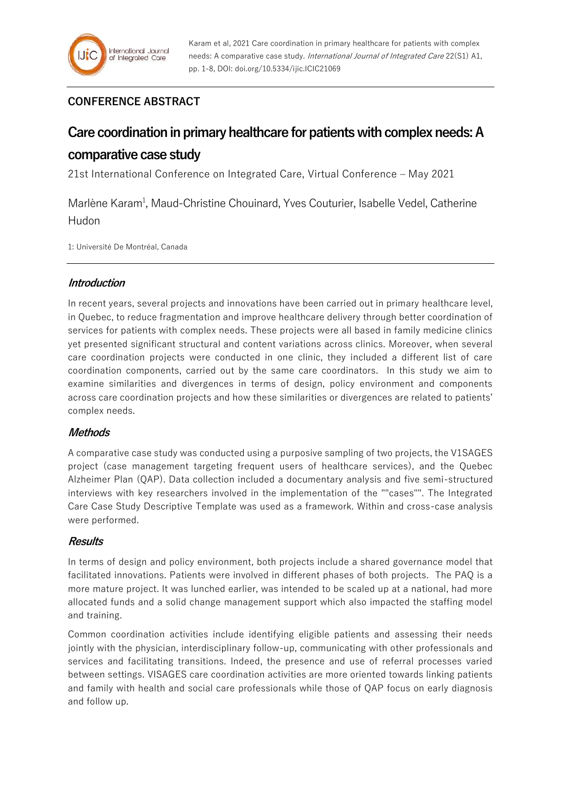## **CONFERENCE ABSTRACT**

# **Care coordination in primary healthcare for patients with complex needs: A comparative case study**

21st International Conference on Integrated Care, Virtual Conference – May 2021

Marlène Karam<sup>1</sup>, Maud-Christine Chouinard, Yves Couturier, Isabelle Vedel, Catherine Hudon

1: Université De Montréal, Canada

## **Introduction**

In recent years, several projects and innovations have been carried out in primary healthcare level, in Quebec, to reduce fragmentation and improve healthcare delivery through better coordination of services for patients with complex needs. These projects were all based in family medicine clinics yet presented significant structural and content variations across clinics. Moreover, when several care coordination projects were conducted in one clinic, they included a different list of care coordination components, carried out by the same care coordinators. In this study we aim to examine similarities and divergences in terms of design, policy environment and components across care coordination projects and how these similarities or divergences are related to patients' complex needs.

## **Methods**

A comparative case study was conducted using a purposive sampling of two projects, the V1SAGES project (case management targeting frequent users of healthcare services), and the Quebec Alzheimer Plan (QAP). Data collection included a documentary analysis and five semi-structured interviews with key researchers involved in the implementation of the ""cases"". The Integrated Care Case Study Descriptive Template was used as a framework. Within and cross-case analysis were performed.

## **Results**

In terms of design and policy environment, both projects include a shared governance model that facilitated innovations. Patients were involved in different phases of both projects. The PAQ is a more mature project. It was lunched earlier, was intended to be scaled up at a national, had more allocated funds and a solid change management support which also impacted the staffing model and training.

Common coordination activities include identifying eligible patients and assessing their needs jointly with the physician, interdisciplinary follow-up, communicating with other professionals and services and facilitating transitions. Indeed, the presence and use of referral processes varied between settings. VISAGES care coordination activities are more oriented towards linking patients and family with health and social care professionals while those of QAP focus on early diagnosis and follow up.